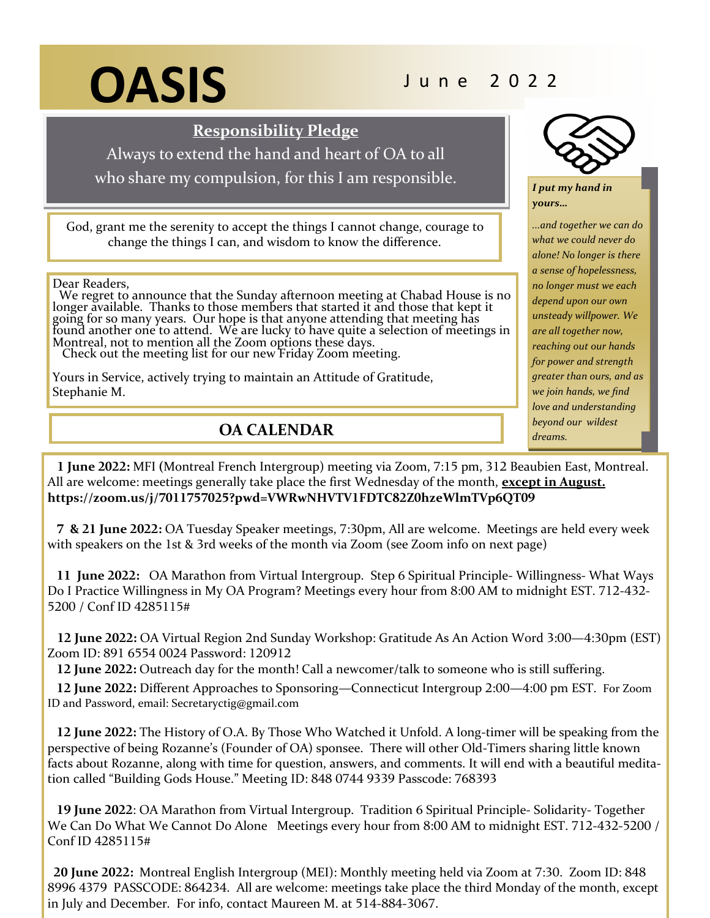# **OASIS** June 2022

**Responsibility Pledge**

Always to extend the hand and heart of OA to all

who share my compulsion, for this I am responsible.

God, grant me the serenity to accept the things I cannot change, courage to change the things I can, and wisdom to know the difference.

Dear Readers,

 We regret to announce that the Sunday afternoon meeting at Chabad House is no longer available. Thanks to those members that started it and those that kept it going for so many years. Our hope is that anyone attending that meeting has found another one to attend. We are lucky to have quite a selection of meetings in Montreal, not to mention all the Zoom options these days. Check out the meeting list for our new Friday Zoom meeting.

Yours in Service, actively trying to maintain an Attitude of Gratitude, Stephanie M.

**OA CALENDAR**



*I put my hand in yours…*

*...and together we can do what we could never do alone! No longer is there a sense of hopelessness, no longer must we each depend upon our own unsteady willpower. We are all together now, reaching out our hands for power and strength greater than ours, and as we join hands, we find love and understanding beyond our wildest dreams.*

 **1 June 2022:** MFI **(**Montreal French Intergroup) meeting via Zoom, 7:15 pm, 312 Beaubien East, Montreal. All are welcome: meetings generally take place the first Wednesday of the month, **except in August. https://zoom.us/j/7011757025?pwd=VWRwNHVTV1FDTC82Z0hzeWlmTVp6QT09**

 **7 & 21 June 2022:** OA Tuesday Speaker meetings, 7:30pm, All are welcome.Meetings are held every week with speakers on the 1st & 3rd weeks of the month via Zoom (see Zoom info on next page)

 **11 June 2022:** OA Marathon from Virtual Intergroup. Step 6 Spiritual Principle- Willingness- What Ways Do I Practice Willingness in My OA Program? Meetings every hour from 8:00 AM to midnight EST. 712-432- 5200 / Conf ID 4285115#

 **12 June 2022:** OA Virtual Region 2nd Sunday Workshop: Gratitude As An Action Word 3:00—4:30pm (EST) Zoom ID: 891 6554 0024 Password: 120912

 **12 June 2022:** Outreach day for the month! Call a newcomer/talk to someone who is still suffering.

 **12 June 2022:** Different Approaches to Sponsoring—Connecticut Intergroup 2:00—4:00 pm EST. For Zoom ID and Password, email: Secretaryctig@gmail.com

 **12 June 2022:** The History of O.A. By Those Who Watched it Unfold. A long-timer will be speaking from the perspective of being Rozanne's (Founder of OA) sponsee. There will other Old-Timers sharing little known facts about Rozanne, along with time for question, answers, and comments. It will end with a beautiful meditation called "Building Gods House." Meeting ID: 848 0744 9339 Passcode: 768393

 **19 June 2022**: OA Marathon from Virtual Intergroup. Tradition 6 Spiritual Principle- Solidarity- Together We Can Do What We Cannot Do Alone Meetings every hour from 8:00 AM to midnight EST. 712-432-5200 / Conf ID 4285115#

 **20 June 2022:** Montreal English Intergroup (MEI): Monthly meeting held via Zoom at 7:30. Zoom ID: 848 8996 4379 PASSCODE: 864234. All are welcome: meetings take place the third Monday of the month, except in July and December. For info, contact Maureen M. at 514-884-3067.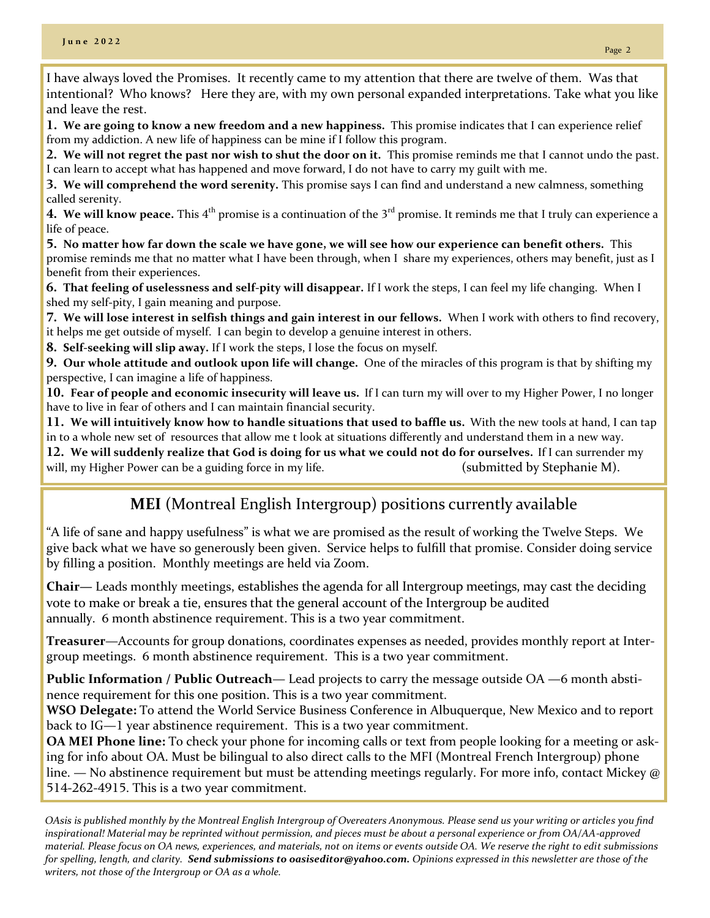**1. We are going to know a new freedom and a new happiness.** This promise indicates that I can experience relief from my addiction. A new life of happiness can be mine if I follow this program.

**2. We will not regret the past nor wish to shut the door on it.** This promise reminds me that I cannot undo the past. I can learn to accept what has happened and move forward, I do not have to carry my guilt with me.

**3. We will comprehend the word serenity.** This promise says I can find and understand a new calmness, something called serenity.

**4. We will know peace.** This 4<sup>th</sup> promise is a continuation of the 3<sup>rd</sup> promise. It reminds me that I truly can experience a life of peace.

**5. No matter how far down the scale we have gone, we will see how our experience can benefit others.** This promise reminds me that no matter what I have been through, when I share my experiences, others may benefit, just as I benefit from their experiences.

**6. That feeling of uselessness and self-pity will disappear.** If I work the steps, I can feel my life changing. When I shed my self-pity, I gain meaning and purpose.

**7. We will lose interest in selfish things and gain interest in our fellows.** When I work with others to find recovery, it helps me get outside of myself. I can begin to develop a genuine interest in others.

**8. Self-seeking will slip away.** If I work the steps, I lose the focus on myself.

**9. Our whole attitude and outlook upon life will change.** One of the miracles of this program is that by shifting my perspective, I can imagine a life of happiness.

**10. Fear of people and economic insecurity will leave us.** If I can turn my will over to my Higher Power, I no longer have to live in fear of others and I can maintain financial security.

**11. We will intuitively know how to handle situations that used to baffle us.** With the new tools at hand, I can tap in to a whole new set of resources that allow me t look at situations differently and understand them in a new way.

**12. We will suddenly realize that God is doing for us what we could not do for ourselves.** If I can surrender my will, my Higher Power can be a guiding force in my life. (submitted by Stephanie M).

## **MEI** (Montreal English Intergroup) positions currently available

"A life of sane and happy usefulness" is what we are promised as the result of working the Twelve Steps. We give back what we have so generously been given. Service helps to fulfill that promise. Consider doing service by filling a position. Monthly meetings are held via Zoom.

**Chair—** Leads monthly meetings, establishes the agenda for all Intergroup meetings, may cast the deciding vote to make or break a tie, ensures that the general account of the Intergroup be audited annually. 6 month abstinence requirement. This is a two year commitment.

**Treasurer**—Accounts for group donations, coordinates expenses as needed, provides monthly report at Intergroup meetings. 6 month abstinence requirement. This is a two year commitment.

**Public Information / Public Outreach**— Lead projects to carry the message outside OA —6 month abstinence requirement for this one position. This is a two year commitment.

**WSO Delegate:** To attend the World Service Business Conference in Albuquerque, New Mexico and to report back to IG—1 year abstinence requirement. This is a two year commitment.

**OA MEI Phone line:** To check your phone for incoming calls or text from people looking for a meeting or asking for info about OA. Must be bilingual to also direct calls to the MFI (Montreal French Intergroup) phone line. — No abstinence requirement but must be attending meetings regularly. For more info, contact Mickey @ 514-262-4915. This is a two year commitment.

*OAsis is published monthly by the Montreal English Intergroup of Overeaters Anonymous. Please send us your writing or articles you find inspirational! Material may be reprinted without permission, and pieces must be about a personal experience or from OA/AA-approved material. Please focus on OA news, experiences, and materials, not on items or events outside OA. We reserve the right to edit submissions for spelling, length, and clarity. Send submissions to oasiseditor@yahoo.com. Opinions expressed in this newsletter are those of the writers, not those of the Intergroup or OA as a whole.*